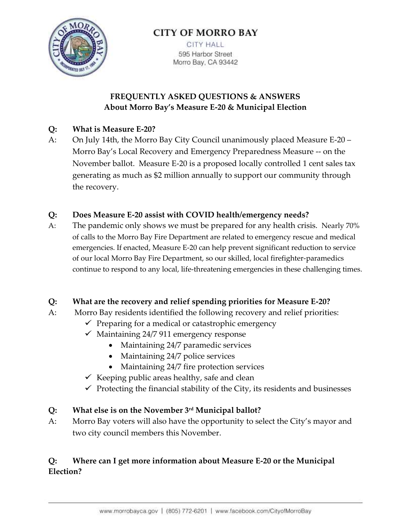

# **CITY OF MORRO BAY**

**CITY HALL** 595 Harbor Street Morro Bay, CA 93442

## **FREQUENTLY ASKED QUESTIONS & ANSWERS About Morro Bay's Measure E-20 & Municipal Election**

### **Q: What is Measure E-20?**

A: On July 14th, the Morro Bay City Council unanimously placed Measure E-20 – Morro Bay's Local Recovery and Emergency Preparedness Measure -- on the November ballot. Measure E-20 is a proposed locally controlled 1 cent sales tax generating as much as \$2 million annually to support our community through the recovery.

## **Q: Does Measure E-20 assist with COVID health/emergency needs?**

A: The pandemic only shows we must be prepared for any health crisis. Nearly 70% of calls to the Morro Bay Fire Department are related to emergency rescue and medical emergencies. If enacted, Measure E-20 can help prevent significant reduction to service of our local Morro Bay Fire Department, so our skilled, local firefighter-paramedics continue to respond to any local, life-threatening emergencies in these challenging times.

### **Q: What are the recovery and relief spending priorities for Measure E-20?**

- A: Morro Bay residents identified the following recovery and relief priorities:
	- $\checkmark$  Preparing for a medical or catastrophic emergency
	- $\checkmark$  Maintaining 24/7 911 emergency response
		- Maintaining 24/7 paramedic services
		- Maintaining 24/7 police services
		- Maintaining 24/7 fire protection services
	- $\checkmark$  Keeping public areas healthy, safe and clean
	- $\checkmark$  Protecting the financial stability of the City, its residents and businesses

### **Q: What else is on the November 3 rd Municipal ballot?**

A: Morro Bay voters will also have the opportunity to select the City's mayor and two city council members this November.

## **Q: Where can I get more information about Measure E-20 or the Municipal Election?**